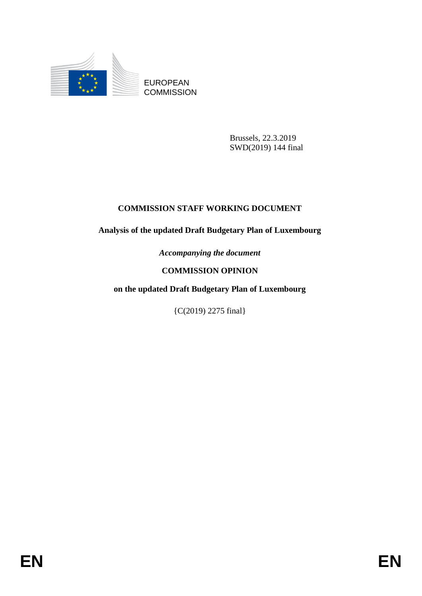

EUROPEAN **COMMISSION** 

> Brussels, 22.3.2019 SWD(2019) 144 final

# **COMMISSION STAFF WORKING DOCUMENT**

# **Analysis of the updated Draft Budgetary Plan of Luxembourg**

*Accompanying the document*

# **COMMISSION OPINION**

# **on the updated Draft Budgetary Plan of Luxembourg**

{C(2019) 2275 final}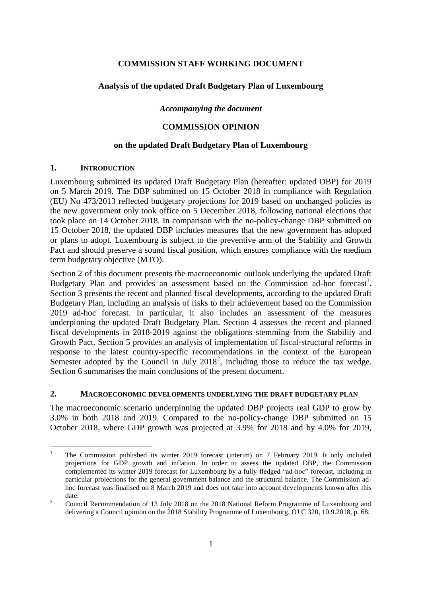### **COMMISSION STAFF WORKING DOCUMENT**

## **Analysis of the updated Draft Budgetary Plan of Luxembourg**

*Accompanying the document*

## **COMMISSION OPINION**

### **on the updated Draft Budgetary Plan of Luxembourg**

#### **1. INTRODUCTION**

Luxembourg submitted its updated Draft Budgetary Plan (hereafter: updated DBP) for 2019 on 5 March 2019. The DBP submitted on 15 October 2018 in compliance with Regulation (EU) No 473/2013 reflected budgetary projections for 2019 based on unchanged policies as the new government only took office on 5 December 2018, following national elections that took place on 14 October 2018. In comparison with the no-policy-change DBP submitted on 15 October 2018, the updated DBP includes measures that the new government has adopted or plans to adopt. Luxembourg is subject to the preventive arm of the Stability and Growth Pact and should preserve a sound fiscal position, which ensures compliance with the medium term budgetary objective (MTO).

Section 2 of this document presents the macroeconomic outlook underlying the updated Draft Budgetary Plan and provides an assessment based on the Commission ad-hoc forecast<sup>1</sup>. Section 3 presents the recent and planned fiscal developments, according to the updated Draft Budgetary Plan, including an analysis of risks to their achievement based on the Commission 2019 ad-hoc forecast. In particular, it also includes an assessment of the measures underpinning the updated Draft Budgetary Plan. Section 4 assesses the recent and planned fiscal developments in 2018-2019 against the obligations stemming from the Stability and Growth Pact. Section 5 provides an analysis of implementation of fiscal-structural reforms in response to the latest country-specific recommendations in the context of the European Semester adopted by the Council in July  $2018^2$ , including those to reduce the tax wedge. Section 6 summarises the main conclusions of the present document.

## **2. MACROECONOMIC DEVELOPMENTS UNDERLYING THE DRAFT BUDGETARY PLAN**

The macroeconomic scenario underpinning the updated DBP projects real GDP to grow by 3.0% in both 2018 and 2019. Compared to the no-policy-change DBP submitted on 15 October 2018, where GDP growth was projected at 3.9% for 2018 and by 4.0% for 2019,

<sup>&</sup>lt;u>.</u> <sup>1</sup> The Commission published its winter 2019 forecast (interim) on 7 February 2019. It only included projections for GDP growth and inflation. In order to assess the updated DBP, the Commission complemented its winter 2019 forecast for Luxembourg by a fully-fledged "ad-hoc" forecast, including in particular projections for the general government balance and the structural balance. The Commission adhoc forecast was finalised on 8 March 2019 and does not take into account developments known after this date.

<sup>&</sup>lt;sup>2</sup> Council Recommendation of 13 July 2018 on the 2018 National Reform Programme of Luxembourg and delivering a Council opinion on the 2018 Stability Programme of Luxembourg, OJ C 320, 10.9.2018, p. 68.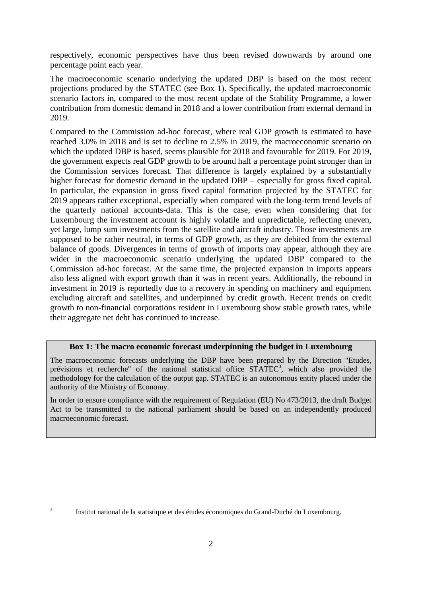respectively, economic perspectives have thus been revised downwards by around one percentage point each year.

The macroeconomic scenario underlying the updated DBP is based on the most recent projections produced by the STATEC (see Box 1). Specifically, the updated macroeconomic scenario factors in, compared to the most recent update of the Stability Programme, a lower contribution from domestic demand in 2018 and a lower contribution from external demand in 2019.

Compared to the Commission ad-hoc forecast, where real GDP growth is estimated to have reached 3.0% in 2018 and is set to decline to 2.5% in 2019, the macroeconomic scenario on which the updated DBP is based, seems plausible for 2018 and favourable for 2019. For 2019, the government expects real GDP growth to be around half a percentage point stronger than in the Commission services forecast. That difference is largely explained by a substantially higher forecast for domestic demand in the updated DBP – especially for gross fixed capital. In particular, the expansion in gross fixed capital formation projected by the STATEC for 2019 appears rather exceptional, especially when compared with the long-term trend levels of the quarterly national accounts-data. This is the case, even when considering that for Luxembourg the investment account is highly volatile and unpredictable, reflecting uneven, yet large, lump sum investments from the satellite and aircraft industry. Those investments are supposed to be rather neutral, in terms of GDP growth, as they are debited from the external balance of goods. Divergences in terms of growth of imports may appear, although they are wider in the macroeconomic scenario underlying the updated DBP compared to the Commission ad-hoc forecast. At the same time, the projected expansion in imports appears also less aligned with export growth than it was in recent years. Additionally, the rebound in investment in 2019 is reportedly due to a recovery in spending on machinery and equipment excluding aircraft and satellites, and underpinned by credit growth. Recent trends on credit growth to non-financial corporations resident in Luxembourg show stable growth rates, while their aggregate net debt has continued to increase.

### **Box 1: The macro economic forecast underpinning the budget in Luxembourg**

The macroeconomic forecasts underlying the DBP have been prepared by the Direction "Etudes, prévisions et recherche" of the national statistical office STATEC<sup>3</sup>, which also provided the methodology for the calculation of the output gap. STATEC is an autonomous entity placed under the authority of the Ministry of Economy.

In order to ensure compliance with the requirement of Regulation (EU) No 473/2013, the draft Budget Act to be transmitted to the national parliament should be based on an independently produced macroeconomic forecast.

 $\frac{1}{3}$ 

Institut national de la statistique et des études économiques du Grand-Duché du Luxembourg.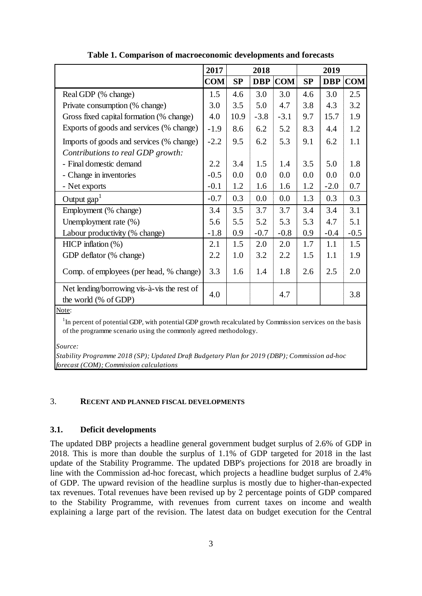|                                                                     | 2017       | 2018 |            |            | 2019 |            |            |
|---------------------------------------------------------------------|------------|------|------------|------------|------|------------|------------|
|                                                                     | <b>COM</b> | SP   | <b>DBP</b> | <b>COM</b> | SP   | <b>DBP</b> | <b>COM</b> |
| Real GDP (% change)                                                 | 1.5        | 4.6  | 3.0        | 3.0        | 4.6  | 3.0        | 2.5        |
| Private consumption (% change)                                      | 3.0        | 3.5  | 5.0        | 4.7        | 3.8  | 4.3        | 3.2        |
| Gross fixed capital formation (% change)                            | 4.0        | 10.9 | $-3.8$     | $-3.1$     | 9.7  | 15.7       | 1.9        |
| Exports of goods and services (% change)                            | $-1.9$     | 8.6  | 6.2        | 5.2        | 8.3  | 4.4        | 1.2        |
| Imports of goods and services (% change)                            | $-2.2$     | 9.5  | 6.2        | 5.3        | 9.1  | 6.2        | 1.1        |
| Contributions to real GDP growth:                                   |            |      |            |            |      |            |            |
| - Final domestic demand                                             | 2.2        | 3.4  | 1.5        | 1.4        | 3.5  | 5.0        | 1.8        |
| - Change in inventories                                             | $-0.5$     | 0.0  | 0.0        | 0.0        | 0.0  | 0.0        | 0.0        |
| - Net exports                                                       | $-0.1$     | 1.2  | 1.6        | 1.6        | 1.2  | $-2.0$     | 0.7        |
| Output $\text{gap}^1$                                               | $-0.7$     | 0.3  | 0.0        | 0.0        | 1.3  | 0.3        | 0.3        |
| Employment (% change)                                               | 3.4        | 3.5  | 3.7        | 3.7        | 3.4  | 3.4        | 3.1        |
| Unemployment rate (%)                                               | 5.6        | 5.5  | 5.2        | 5.3        | 5.3  | 4.7        | 5.1        |
| Labour productivity (% change)                                      | $-1.8$     | 0.9  | $-0.7$     | $-0.8$     | 0.9  | $-0.4$     | $-0.5$     |
| HICP inflation $(\%)$                                               | 2.1        | 1.5  | 2.0        | 2.0        | 1.7  | 1.1        | 1.5        |
| GDP deflator (% change)                                             | 2.2        | 1.0  | 3.2        | 2.2        | 1.5  | 1.1        | 1.9        |
| Comp. of employees (per head, % change)                             | 3.3        | 1.6  | 1.4        | 1.8        | 2.6  | 2.5        | 2.0        |
| Net lending/borrowing vis-à-vis the rest of<br>the world (% of GDP) | 4.0        |      |            | 4.7        |      |            | 3.8        |

**Table 1. Comparison of macroeconomic developments and forecasts**

Note:

 $1$ In percent of potential GDP, with potential GDP growth recalculated by Commission services on the basis of the programme scenario using the commonly agreed methodology.

*Source:*

*Stability Programme 2018 (SP); Updated Draft Budgetary Plan for 2019 (DBP); Commission ad-hoc forecast (COM); Commission calculations*

#### 3. **RECENT AND PLANNED FISCAL DEVELOPMENTS**

### **3.1. Deficit developments**

The updated DBP projects a headline general government budget surplus of 2.6% of GDP in 2018. This is more than double the surplus of 1.1% of GDP targeted for 2018 in the last update of the Stability Programme. The updated DBP's projections for 2018 are broadly in line with the Commission ad-hoc forecast, which projects a headline budget surplus of 2.4% of GDP. The upward revision of the headline surplus is mostly due to higher-than-expected tax revenues. Total revenues have been revised up by 2 percentage points of GDP compared to the Stability Programme, with revenues from current taxes on income and wealth explaining a large part of the revision. The latest data on budget execution for the Central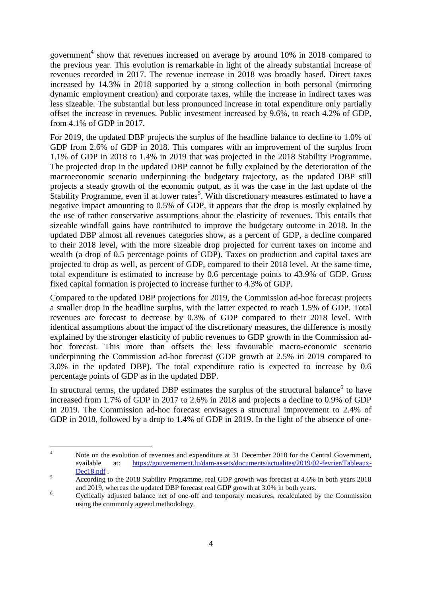government<sup>4</sup> show that revenues increased on average by around 10% in 2018 compared to the previous year. This evolution is remarkable in light of the already substantial increase of revenues recorded in 2017. The revenue increase in 2018 was broadly based. Direct taxes increased by 14.3% in 2018 supported by a strong collection in both personal (mirroring dynamic employment creation) and corporate taxes, while the increase in indirect taxes was less sizeable. The substantial but less pronounced increase in total expenditure only partially offset the increase in revenues. Public investment increased by 9.6%, to reach 4.2% of GDP, from 4.1% of GDP in 2017.

For 2019, the updated DBP projects the surplus of the headline balance to decline to 1.0% of GDP from 2.6% of GDP in 2018. This compares with an improvement of the surplus from 1.1% of GDP in 2018 to 1.4% in 2019 that was projected in the 2018 Stability Programme. The projected drop in the updated DBP cannot be fully explained by the deterioration of the macroeconomic scenario underpinning the budgetary trajectory, as the updated DBP still projects a steady growth of the economic output, as it was the case in the last update of the Stability Programme, even if at lower rates<sup>5</sup>. With discretionary measures estimated to have a negative impact amounting to 0.5% of GDP, it appears that the drop is mostly explained by the use of rather conservative assumptions about the elasticity of revenues. This entails that sizeable windfall gains have contributed to improve the budgetary outcome in 2018. In the updated DBP almost all revenues categories show, as a percent of GDP, a decline compared to their 2018 level, with the more sizeable drop projected for current taxes on income and wealth (a drop of 0.5 percentage points of GDP). Taxes on production and capital taxes are projected to drop as well, as percent of GDP, compared to their 2018 level. At the same time, total expenditure is estimated to increase by 0.6 percentage points to 43.9% of GDP. Gross fixed capital formation is projected to increase further to 4.3% of GDP.

Compared to the updated DBP projections for 2019, the Commission ad-hoc forecast projects a smaller drop in the headline surplus, with the latter expected to reach 1.5% of GDP. Total revenues are forecast to decrease by 0.3% of GDP compared to their 2018 level. With identical assumptions about the impact of the discretionary measures, the difference is mostly explained by the stronger elasticity of public revenues to GDP growth in the Commission adhoc forecast. This more than offsets the less favourable macro-economic scenario underpinning the Commission ad-hoc forecast (GDP growth at 2.5% in 2019 compared to 3.0% in the updated DBP). The total expenditure ratio is expected to increase by 0.6 percentage points of GDP as in the updated DBP.

In structural terms, the updated DBP estimates the surplus of the structural balance $<sup>6</sup>$  to have</sup> increased from 1.7% of GDP in 2017 to 2.6% in 2018 and projects a decline to 0.9% of GDP in 2019. The Commission ad-hoc forecast envisages a structural improvement to 2.4% of GDP in 2018, followed by a drop to 1.4% of GDP in 2019. In the light of the absence of one-

 $\overline{4}$ Note on the evolution of revenues and expenditure at 31 December 2018 for the Central Government, available at: [https://gouvernement.lu/dam-assets/documents/actualites/2019/02-fevrier/Tableaux-](https://gouvernement.lu/dam-assets/documents/actualites/2019/02-fevrier/Tableaux-Dec18.pdf)[Dec18.pdf](https://gouvernement.lu/dam-assets/documents/actualites/2019/02-fevrier/Tableaux-Dec18.pdf).

<sup>&</sup>lt;sup>5</sup><br>According to the 2018 Stability Programme, real GDP growth was forecast at 4.6% in both years 2018 and 2019, whereas the updated DBP forecast real GDP growth at 3.0% in both years.

<sup>&</sup>lt;sup>6</sup> Cyclically adjusted balance net of one-off and temporary measures, recalculated by the Commission using the commonly agreed methodology.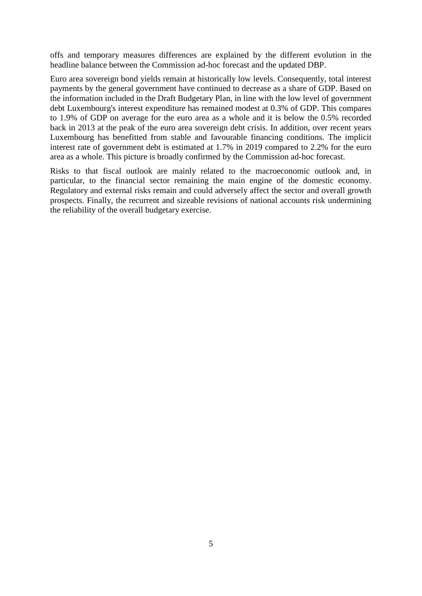offs and temporary measures differences are explained by the different evolution in the headline balance between the Commission ad-hoc forecast and the updated DBP.

Euro area sovereign bond yields remain at historically low levels. Consequently, total interest payments by the general government have continued to decrease as a share of GDP. Based on the information included in the Draft Budgetary Plan, in line with the low level of government debt Luxembourg's interest expenditure has remained modest at 0.3% of GDP. This compares to 1.9% of GDP on average for the euro area as a whole and it is below the 0.5% recorded back in 2013 at the peak of the euro area sovereign debt crisis. In addition, over recent years Luxembourg has benefitted from stable and favourable financing conditions. The implicit interest rate of government debt is estimated at 1.7% in 2019 compared to 2.2% for the euro area as a whole. This picture is broadly confirmed by the Commission ad-hoc forecast.

Risks to that fiscal outlook are mainly related to the macroeconomic outlook and, in particular, to the financial sector remaining the main engine of the domestic economy. Regulatory and external risks remain and could adversely affect the sector and overall growth prospects. Finally, the recurrent and sizeable revisions of national accounts risk undermining the reliability of the overall budgetary exercise.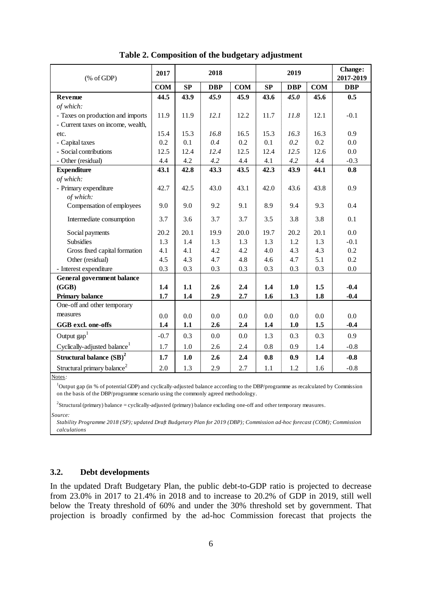| $(% \mathcal{L}_{0} \cap \mathcal{L}_{1})$ (% of GDP) | 2017       | 2018 |            | 2019       |      |            | Change:<br>2017-2019 |            |
|-------------------------------------------------------|------------|------|------------|------------|------|------------|----------------------|------------|
|                                                       | <b>COM</b> | SP   | <b>DBP</b> | <b>COM</b> | SP   | <b>DBP</b> | <b>COM</b>           | <b>DBP</b> |
| Revenue                                               | 44.5       | 43.9 | 45.9       | 45.9       | 43.6 | 45.0       | 45.6                 | 0.5        |
| of which:                                             |            |      |            |            |      |            |                      |            |
| - Taxes on production and imports                     | 11.9       | 11.9 | 12.1       | 12.2       | 11.7 | 11.8       | 12.1                 | $-0.1$     |
| - Current taxes on income, wealth,                    |            |      |            |            |      |            |                      |            |
| etc.                                                  | 15.4       | 15.3 | 16.8       | 16.5       | 15.3 | 16.3       | 16.3                 | 0.9        |
| - Capital taxes                                       | 0.2        | 0.1  | 0.4        | 0.2        | 0.1  | 0.2        | 0.2                  | 0.0        |
| - Social contributions                                | 12.5       | 12.4 | 12.4       | 12.5       | 12.4 | 12.5       | 12.6                 | 0.0        |
| - Other (residual)                                    | 4.4        | 4.2  | 4.2        | 4.4        | 4.1  | 4.2        | 4.4                  | $-0.3$     |
| <b>Expenditure</b>                                    | 43.1       | 42.8 | 43.3       | 43.5       | 42.3 | 43.9       | 44.1                 | 0.8        |
| of which:                                             |            |      |            |            |      |            |                      |            |
| - Primary expenditure                                 | 42.7       | 42.5 | 43.0       | 43.1       | 42.0 | 43.6       | 43.8                 | 0.9        |
| of which:                                             |            |      |            |            |      |            |                      |            |
| Compensation of employees                             | 9.0        | 9.0  | 9.2        | 9.1        | 8.9  | 9.4        | 9.3                  | 0.4        |
| Intermediate consumption                              | 3.7        | 3.6  | 3.7        | 3.7        | 3.5  | 3.8        | 3.8                  | 0.1        |
| Social payments                                       | 20.2       | 20.1 | 19.9       | 20.0       | 19.7 | 20.2       | 20.1                 | 0.0        |
| <b>Subsidies</b>                                      | 1.3        | 1.4  | 1.3        | 1.3        | 1.3  | 1.2        | 1.3                  | $-0.1$     |
| Gross fixed capital formation                         | 4.1        | 4.1  | 4.2        | 4.2        | 4.0  | 4.3        | 4.3                  | 0.2        |
| Other (residual)                                      | 4.5        | 4.3  | 4.7        | 4.8        | 4.6  | 4.7        | 5.1                  | 0.2        |
| - Interest expenditure                                | 0.3        | 0.3  | 0.3        | 0.3        | 0.3  | 0.3        | 0.3                  | $0.0\,$    |
| <b>General government balance</b>                     |            |      |            |            |      |            |                      |            |
| (GGB)                                                 | 1.4        | 1.1  | 2.6        | 2.4        | 1.4  | 1.0        | 1.5                  | $-0.4$     |
| <b>Primary balance</b>                                | 1.7        | 1.4  | 2.9        | 2.7        | 1.6  | 1.3        | 1.8                  | $-0.4$     |
| One-off and other temporary                           |            |      |            |            |      |            |                      |            |
| measures                                              | 0.0        | 0.0  | 0.0        | 0.0        | 0.0  | 0.0        | 0.0                  | 0.0        |
| GGB excl. one-offs                                    | 1.4        | 1.1  | 2.6        | 2,4        | 1.4  | 1.0        | 1.5                  | $-0.4$     |
| Output $\text{gap}^1$                                 | $-0.7$     | 0.3  | 0.0        | 0.0        | 1.3  | 0.3        | 0.3                  | 0.9        |
| Cyclically-adjusted balance <sup>1</sup>              | 1.7        | 1.0  | 2.6        | 2.4        | 0.8  | 0.9        | 1.4                  | $-0.8$     |
| Structural balance $(SB)^2$                           | 1.7        | 1.0  | 2.6        | 2.4        | 0.8  | 0.9        | 1.4                  | $-0.8$     |
| Structural primary balance <sup>2</sup>               | 2.0        | 1.3  | 2.9        | 2.7        | 1.1  | 1.2        | 1.6                  | $-0.8$     |

**Table 2. Composition of the budgetary adjustment**

Notes*:*

<sup>1</sup>Output gap (in % of potential GDP) and cyclically-adjusted balance according to the DBP/programme as recalculated by Commission on the basis of the DBP/programme scenario using the commonly agreed methodology.

<sup>2</sup>Structural (primary) balance = cyclically-adjusted (primary) balance excluding one-off and other temporary measures.

*Source:*

*Stability Programme 2018 (SP); updated Draft Budgetary Plan for 2019 (DBP); Commission ad-hoc forecast (COM); Commission calculations*

### **3.2. Debt developments**

In the updated Draft Budgetary Plan, the public debt-to-GDP ratio is projected to decrease from 23.0% in 2017 to 21.4% in 2018 and to increase to 20.2% of GDP in 2019, still well below the Treaty threshold of 60% and under the 30% threshold set by government. That projection is broadly confirmed by the ad-hoc Commission forecast that projects the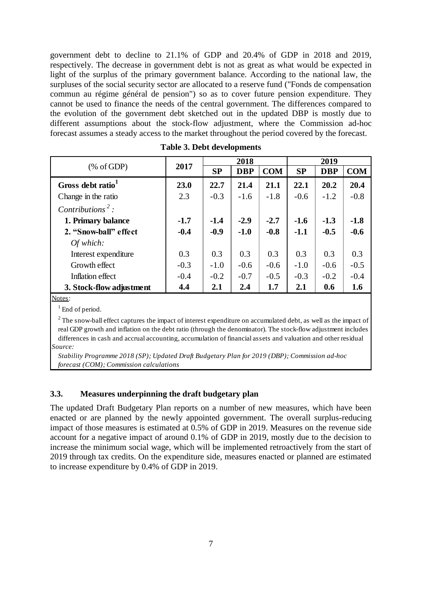government debt to decline to 21.1% of GDP and 20.4% of GDP in 2018 and 2019, respectively. The decrease in government debt is not as great as what would be expected in light of the surplus of the primary government balance. According to the national law, the surpluses of the social security sector are allocated to a reserve fund ("Fonds de compensation commun au régime général de pension") so as to cover future pension expenditure. They cannot be used to finance the needs of the central government. The differences compared to the evolution of the government debt sketched out in the updated DBP is mostly due to different assumptions about the stock-flow adjustment, where the Commission ad-hoc forecast assumes a steady access to the market throughout the period covered by the forecast.

|                               |        | 2018      |            |            | 2019      |            |            |
|-------------------------------|--------|-----------|------------|------------|-----------|------------|------------|
| % of GDP                      | 2017   | <b>SP</b> | <b>DBP</b> | <b>COM</b> | <b>SP</b> | <b>DBP</b> | <b>COM</b> |
| Gross debt ratio <sup>1</sup> | 23.0   | 22.7      | 21.4       | 21.1       | 22.1      | 20.2       | 20.4       |
| Change in the ratio           | 2.3    | $-0.3$    | $-1.6$     | $-1.8$     | $-0.6$    | $-1.2$     | $-0.8$     |
| Contributions <sup>2</sup> :  |        |           |            |            |           |            |            |
| 1. Primary balance            | $-1.7$ | $-1.4$    | $-2.9$     | $-2.7$     | $-1.6$    | $-1.3$     | $-1.8$     |
| 2. "Snow-ball" effect         | $-0.4$ | $-0.9$    | $-1.0$     | $-0.8$     | $-1.1$    | $-0.5$     | $-0.6$     |
| Of which:                     |        |           |            |            |           |            |            |
| Interest expenditure          | 0.3    | 0.3       | 0.3        | 0.3        | 0.3       | 0.3        | 0.3        |
| Growth effect                 | $-0.3$ | $-1.0$    | $-0.6$     | $-0.6$     | $-1.0$    | $-0.6$     | $-0.5$     |
| Inflation effect              | $-0.4$ | $-0.2$    | $-0.7$     | $-0.5$     | $-0.3$    | $-0.2$     | $-0.4$     |
| 3. Stock-flow adjustment      | 4.4    | 2.1       | 2.4        | 1.7        | 2.1       | 0.6        | 1.6        |

| <b>Table 3. Debt developments</b> |
|-----------------------------------|
|-----------------------------------|

#### Notes:

<sup>1</sup> End of period.

*Source:*  $2$  The snow-ball effect captures the impact of interest expenditure on accumulated debt, as well as the impact of real GDP growth and inflation on the debt ratio (through the denominator). The stock-flow adjustment includes differences in cash and accrual accounting, accumulation of financial assets and valuation and other residual

*Stability Programme 2018 (SP); Updated Draft Budgetary Plan for 2019 (DBP); Commission ad-hoc forecast (COM); Commission calculations*

#### **3.3. Measures underpinning the draft budgetary plan**

The updated Draft Budgetary Plan reports on a number of new measures, which have been enacted or are planned by the newly appointed government. The overall surplus-reducing impact of those measures is estimated at 0.5% of GDP in 2019. Measures on the revenue side account for a negative impact of around 0.1% of GDP in 2019, mostly due to the decision to increase the minimum social wage, which will be implemented retroactively from the start of 2019 through tax credits. On the expenditure side, measures enacted or planned are estimated to increase expenditure by 0.4% of GDP in 2019.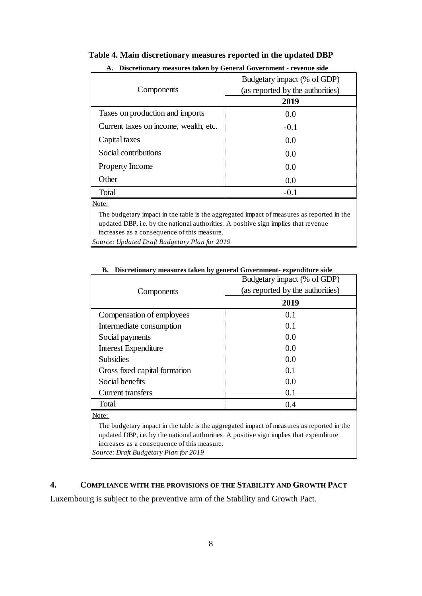| A. Discretionary measures taken by General Government - revenue side |                                  |  |  |  |  |
|----------------------------------------------------------------------|----------------------------------|--|--|--|--|
|                                                                      | Budgetary impact (% of GDP)      |  |  |  |  |
| Components                                                           | (as reported by the authorities) |  |  |  |  |
|                                                                      | 2019                             |  |  |  |  |
| Taxes on production and imports                                      | 0.0                              |  |  |  |  |
| Current taxes on income, wealth, etc.                                | $-0.1$                           |  |  |  |  |
| Capital taxes                                                        | 0.0                              |  |  |  |  |
| Social contributions                                                 | 0.0                              |  |  |  |  |
| <b>Property Income</b>                                               | 0.0                              |  |  |  |  |
| Other                                                                | 0.0                              |  |  |  |  |

#### **Table 4. Main discretionary measures reported in the updated DBP**

Note:

The budgetary impact in the table is the aggregated impact of measures as reported in the updated DBP, i.e. by the national authorities. A positive sign implies that revenue increases as a consequence of this measure.

 $Total$   $-0.1$ 

*Source: Updated Draft Budgetary Plan for 2019*

|                               | Budgetary impact (% of GDP)      |  |  |  |  |  |
|-------------------------------|----------------------------------|--|--|--|--|--|
| Components                    | (as reported by the authorities) |  |  |  |  |  |
|                               | 2019                             |  |  |  |  |  |
| Compensation of employees     | 0.1                              |  |  |  |  |  |
| Intermediate consumption      | 0.1                              |  |  |  |  |  |
| Social payments               | 0.0                              |  |  |  |  |  |
| <b>Interest Expenditure</b>   | 0.0                              |  |  |  |  |  |
| <b>Subsidies</b>              | 0.0                              |  |  |  |  |  |
| Gross fixed capital formation | 0.1                              |  |  |  |  |  |
| Social benefits               | 0.0                              |  |  |  |  |  |
| Current transfers             | 0.1                              |  |  |  |  |  |
| Total                         | 0.4                              |  |  |  |  |  |
| Note:                         |                                  |  |  |  |  |  |

#### **B. Discretionary measures taken by general Government- expenditure side**

The budgetary impact in the table is the aggregated impact of measures as reported in the updated DBP, i.e. by the national authorities. A positive sign implies that expenditure increases as a consequence of this measure. *Source: Draft Budgetary Plan for 2019*

#### **4. COMPLIANCE WITH THE PROVISIONS OF THE STABILITY AND GROWTH PACT**

Luxembourg is subject to the preventive arm of the Stability and Growth Pact.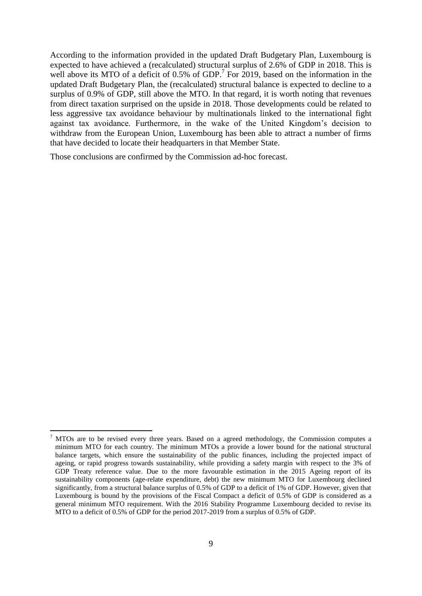According to the information provided in the updated Draft Budgetary Plan, Luxembourg is expected to have achieved a (recalculated) structural surplus of 2.6% of GDP in 2018. This is well above its MTO of a deficit of  $0.5\%$  of GDP.<sup>7</sup> For 2019, based on the information in the updated Draft Budgetary Plan, the (recalculated) structural balance is expected to decline to a surplus of 0.9% of GDP, still above the MTO. In that regard, it is worth noting that revenues from direct taxation surprised on the upside in 2018. Those developments could be related to less aggressive tax avoidance behaviour by multinationals linked to the international fight against tax avoidance. Furthermore, in the wake of the United Kingdom's decision to withdraw from the European Union, Luxembourg has been able to attract a number of firms that have decided to locate their headquarters in that Member State.

Those conclusions are confirmed by the Commission ad-hoc forecast.

1

<sup>7</sup> MTOs are to be revised every three years. Based on a agreed methodology, the Commission computes a minimum MTO for each country. The minimum MTOs a provide a lower bound for the national structural balance targets, which ensure the sustainability of the public finances, including the projected impact of ageing, or rapid progress towards sustainability, while providing a safety margin with respect to the 3% of GDP Treaty reference value. Due to the more favourable estimation in the 2015 Ageing report of its sustainability components (age-relate expenditure, debt) the new minimum MTO for Luxembourg declined significantly, from a structural balance surplus of 0.5% of GDP to a deficit of 1% of GDP. However, given that Luxembourg is bound by the provisions of the Fiscal Compact a deficit of 0.5% of GDP is considered as a general minimum MTO requirement. With the 2016 Stability Programme Luxembourg decided to revise its MTO to a deficit of 0.5% of GDP for the period 2017-2019 from a surplus of 0.5% of GDP.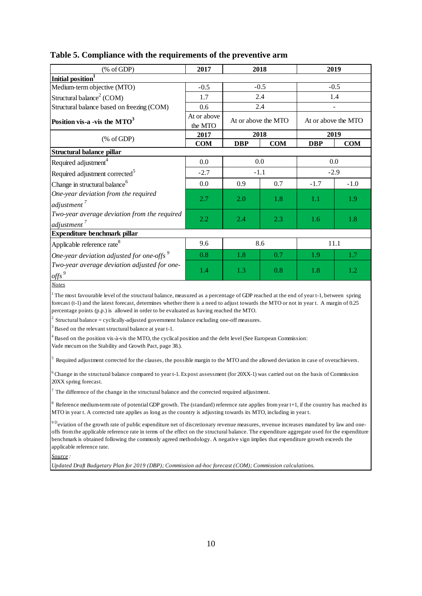| $(% \mathcal{L}_{0} \cap \mathcal{L}_{1})$ (% of GDP)                                                                                                                                                                                                                                                                                                                         | 2017                   | 2018                |            | 2019                |        |  |  |
|-------------------------------------------------------------------------------------------------------------------------------------------------------------------------------------------------------------------------------------------------------------------------------------------------------------------------------------------------------------------------------|------------------------|---------------------|------------|---------------------|--------|--|--|
| Initial position <sup>1</sup>                                                                                                                                                                                                                                                                                                                                                 |                        |                     |            |                     |        |  |  |
| Medium-term objective (MTO)                                                                                                                                                                                                                                                                                                                                                   | $-0.5$                 | $-0.5$              |            | $-0.5$              |        |  |  |
| Structural balance <sup>2</sup> (COM)                                                                                                                                                                                                                                                                                                                                         | 1.7                    |                     | 2.4        |                     | 1.4    |  |  |
| Structural balance based on freezing (COM)                                                                                                                                                                                                                                                                                                                                    | 0.6                    |                     | 2.4        |                     |        |  |  |
| Position vis-a -vis the $MTO3$                                                                                                                                                                                                                                                                                                                                                | At or above<br>the MTO | At or above the MTO |            | At or above the MTO |        |  |  |
| $(% \mathcal{L}_{0}$ (% of GDP)                                                                                                                                                                                                                                                                                                                                               | 2017                   | 2018                |            | 2019                |        |  |  |
|                                                                                                                                                                                                                                                                                                                                                                               | <b>COM</b>             | <b>DBP</b>          | <b>COM</b> | <b>DBP</b>          | COM    |  |  |
| Structural balance pillar                                                                                                                                                                                                                                                                                                                                                     |                        |                     |            |                     |        |  |  |
| Required adjustment <sup>4</sup>                                                                                                                                                                                                                                                                                                                                              | 0.0                    |                     | 0.0        | 0.0                 |        |  |  |
| Required adjustment corrected <sup>5</sup>                                                                                                                                                                                                                                                                                                                                    | $-2.7$                 |                     | $-1.1$     | $-2.9$              |        |  |  |
| Change in structural balance <sup>6</sup>                                                                                                                                                                                                                                                                                                                                     | 0.0                    | 0.9                 | 0.7        | $-1.7$              | $-1.0$ |  |  |
| One-year deviation from the required                                                                                                                                                                                                                                                                                                                                          |                        |                     |            |                     |        |  |  |
| adjustment <sup>7</sup>                                                                                                                                                                                                                                                                                                                                                       | 2.7                    | 2.0                 | 1.8        | 1.1                 | 1.9    |  |  |
| Two-year average deviation from the required                                                                                                                                                                                                                                                                                                                                  | 2.2                    | 2.4                 | 2.3        | 1.6                 | 1.8    |  |  |
| adjustment <sup>7</sup>                                                                                                                                                                                                                                                                                                                                                       |                        |                     |            |                     |        |  |  |
| Expenditure benchmark pillar                                                                                                                                                                                                                                                                                                                                                  |                        |                     |            |                     |        |  |  |
| Applicable reference rate <sup>8</sup>                                                                                                                                                                                                                                                                                                                                        | 9.6                    | 8.6                 |            | 11.1                |        |  |  |
| One-year deviation adjusted for one-offs $9$                                                                                                                                                                                                                                                                                                                                  | 0.8                    | 1.8                 | 0.7        | 1.9                 | 1.7    |  |  |
| Two-year average deviation adjusted for one-                                                                                                                                                                                                                                                                                                                                  | 1.4                    | 1.3                 | 0.8        | 1.8                 | 1.2    |  |  |
| $_{\text{offs}}$ $^{9}$                                                                                                                                                                                                                                                                                                                                                       |                        |                     |            |                     |        |  |  |
| <b>Notes</b>                                                                                                                                                                                                                                                                                                                                                                  |                        |                     |            |                     |        |  |  |
| $1$ The most favourable level of the structural balance, measured as a percentage of GDP reached at the end of year t-1, between spring<br>forecast (t-1) and the latest forecast, determines whether there is a need to adjust towards the MTO or not in year t. A margin of 0.25<br>percentage points (p.p.) is allowed in order to be evaluated as having reached the MTO. |                        |                     |            |                     |        |  |  |
| <sup>2</sup> Structural balance = cyclically-adjusted government balance excluding one-off measures.                                                                                                                                                                                                                                                                          |                        |                     |            |                     |        |  |  |
| <sup>3</sup> Based on the relevant structural balance at year t-1.                                                                                                                                                                                                                                                                                                            |                        |                     |            |                     |        |  |  |
| $4$ Based on the position vis-à-vis the MTO, the cyclical position and the debt level (See European Commission:<br>Vade mecum on the Stability and Growth Pact, page 38.).                                                                                                                                                                                                    |                        |                     |            |                     |        |  |  |
| $5$ Required adjustment corrected for the clauses, the possible margin to the MTO and the allowed deviation in case of overachievers.                                                                                                                                                                                                                                         |                        |                     |            |                     |        |  |  |
| $6$ Change in the structural balance compared to year t-1. Expost assessment (for 20XX-1) was carried out on the basis of Commission<br>20XX spring forecast.                                                                                                                                                                                                                 |                        |                     |            |                     |        |  |  |

#### **Table 5. Compliance with the requirements of the preventive arm**

 $<sup>7</sup>$  The difference of the change in the structural balance and the corrected required adjustment.</sup>

 $8$  Reference medium-term rate of potential GDP growth. The (standard) reference rate applies from year t+1, if the country has reached its MTO in year t. A corrected rate applies as long as the country is adjusting towards its MTO, including in year t.

<sup>9 D</sup>eviation of the growth rate of public expenditure net of discretionary revenue measures, revenue increases mandated by law and oneoffs from the applicable reference rate in terms of the effect on the structural balance. The expenditure aggregate used for the expenditure benchmark is obtained following the commonly agreed methodology. A negative sign implies that expenditure growth exceeds the applicable reference rate.

*Source :*

*Updated Draft Budgetary Plan for 2019 (DBP); Commission ad-hoc forecast (COM); Commission calculations.*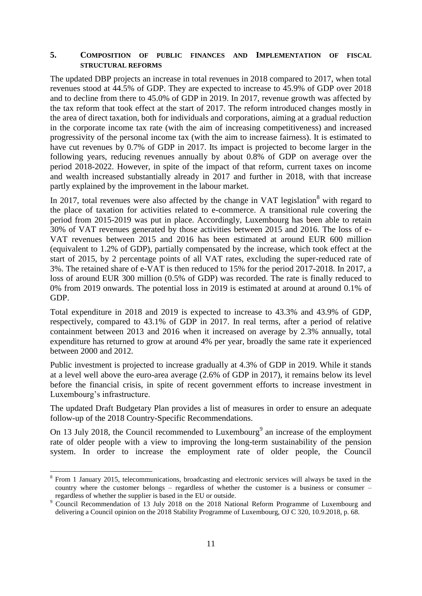### **5. COMPOSITION OF PUBLIC FINANCES AND IMPLEMENTATION OF FISCAL STRUCTURAL REFORMS**

The updated DBP projects an increase in total revenues in 2018 compared to 2017, when total revenues stood at 44.5% of GDP. They are expected to increase to 45.9% of GDP over 2018 and to decline from there to 45.0% of GDP in 2019. In 2017, revenue growth was affected by the tax reform that took effect at the start of 2017. The reform introduced changes mostly in the area of direct taxation, both for individuals and corporations, aiming at a gradual reduction in the corporate income tax rate (with the aim of increasing competitiveness) and increased progressivity of the personal income tax (with the aim to increase fairness). It is estimated to have cut revenues by 0.7% of GDP in 2017. Its impact is projected to become larger in the following years, reducing revenues annually by about 0.8% of GDP on average over the period 2018-2022. However, in spite of the impact of that reform, current taxes on income and wealth increased substantially already in 2017 and further in 2018, with that increase partly explained by the improvement in the labour market.

In 2017, total revenues were also affected by the change in VAT legislation<sup>8</sup> with regard to the place of taxation for activities related to e-commerce. A transitional rule covering the period from 2015-2019 was put in place. Accordingly, Luxembourg has been able to retain 30% of VAT revenues generated by those activities between 2015 and 2016. The loss of e-VAT revenues between 2015 and 2016 has been estimated at around EUR 600 million (equivalent to 1.2% of GDP), partially compensated by the increase, which took effect at the start of 2015, by 2 percentage points of all VAT rates, excluding the super-reduced rate of 3%. The retained share of e-VAT is then reduced to 15% for the period 2017-2018. In 2017, a loss of around EUR 300 million (0.5% of GDP) was recorded. The rate is finally reduced to 0% from 2019 onwards. The potential loss in 2019 is estimated at around at around 0.1% of GDP.

Total expenditure in 2018 and 2019 is expected to increase to 43.3% and 43.9% of GDP, respectively, compared to 43.1% of GDP in 2017. In real terms, after a period of relative containment between 2013 and 2016 when it increased on average by 2.3% annually, total expenditure has returned to grow at around 4% per year, broadly the same rate it experienced between 2000 and 2012.

Public investment is projected to increase gradually at 4.3% of GDP in 2019. While it stands at a level well above the euro-area average (2.6% of GDP in 2017), it remains below its level before the financial crisis, in spite of recent government efforts to increase investment in Luxembourg's infrastructure.

The updated Draft Budgetary Plan provides a list of measures in order to ensure an adequate follow-up of the 2018 Country-Specific Recommendations.

On 13 July 2018, the Council recommended to Luxembourg<sup>9</sup> an increase of the employment rate of older people with a view to improving the long-term sustainability of the pension system. In order to increase the employment rate of older people, the Council

<u>.</u>

<sup>&</sup>lt;sup>8</sup> From 1 January 2015, telecommunications, broadcasting and electronic services will always be taxed in the country where the customer belongs – regardless of whether the customer is a business or consumer – regardless of whether the supplier is based in the EU or outside.

<sup>&</sup>lt;sup>9</sup> Council Recommendation of 13 July 2018 on the 2018 National Reform Programme of Luxembourg and delivering a Council opinion on the 2018 Stability Programme of Luxembourg, OJ C 320, 10.9.2018, p. 68.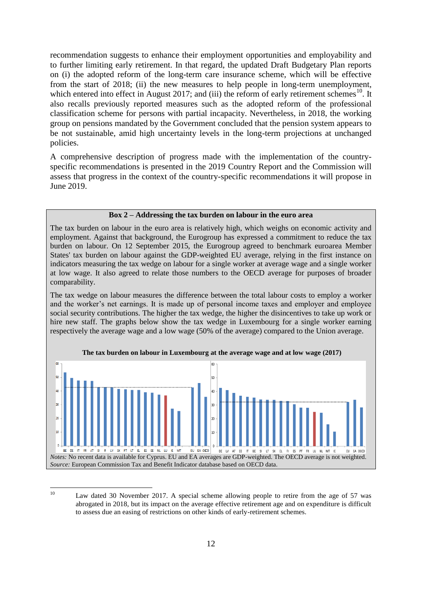recommendation suggests to enhance their employment opportunities and employability and to further limiting early retirement. In that regard, the updated Draft Budgetary Plan reports on (i) the adopted reform of the long-term care insurance scheme, which will be effective from the start of 2018; (ii) the new measures to help people in long-term unemployment, which entered into effect in August 2017; and (iii) the reform of early retirement schemes<sup>10</sup>. It also recalls previously reported measures such as the adopted reform of the professional classification scheme for persons with partial incapacity. Nevertheless, in 2018, the working group on pensions mandated by the Government concluded that the pension system appears to be not sustainable, amid high uncertainty levels in the long-term projections at unchanged policies.

A comprehensive description of progress made with the implementation of the countryspecific recommendations is presented in the 2019 Country Report and the Commission will assess that progress in the context of the country-specific recommendations it will propose in June 2019.

#### **Box 2 – Addressing the tax burden on labour in the euro area**

The tax burden on labour in the euro area is relatively high, which weighs on economic activity and employment. Against that background, the Eurogroup has expressed a commitment to reduce the tax burden on labour. On 12 September 2015, the Eurogroup agreed to benchmark euroarea Member States' tax burden on labour against the GDP-weighted EU average, relying in the first instance on indicators measuring the tax wedge on labour for a single worker at average wage and a single worker at low wage. It also agreed to relate those numbers to the OECD average for purposes of broader comparability.

The tax wedge on labour measures the difference between the total labour costs to employ a worker and the worker's net earnings. It is made up of personal income taxes and employer and employee social security contributions. The higher the tax wedge, the higher the disincentives to take up work or hire new staff. The graphs below show the tax wedge in Luxembourg for a single worker earning respectively the average wage and a low wage (50% of the average) compared to the Union average.





 $10<sup>10</sup>$ 

Law dated 30 November 2017. A special scheme allowing people to retire from the age of 57 was abrogated in 2018, but its impact on the average effective retirement age and on expenditure is difficult to assess due an easing of restrictions on other kinds of early-retirement schemes.